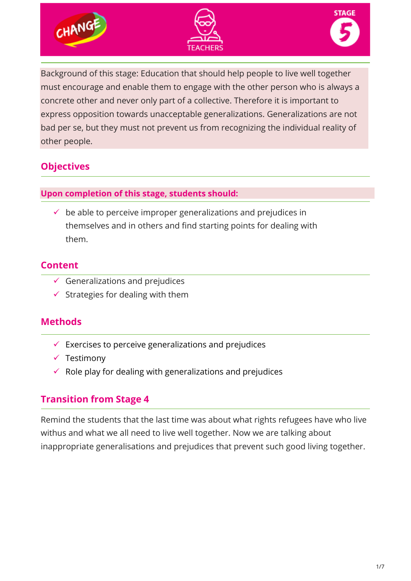



Background of this stage: Education that should help people to live well together must encourage and enable them to engage with the other person who is always a concrete other and never only part of a collective. Therefore it is important to express opposition towards unacceptable generalizations. Generalizations are not bad per se, but they must not prevent us from recognizing the individual reality of other people.

# **Objectives**

#### **Upon completion of this stage, students should:**

 $\checkmark$  be able to perceive improper generalizations and prejudices in themselves and in others and find starting points for dealing with them.

### **Content**

- $\checkmark$  Generalizations and prejudices
- $\checkmark$  Strategies for dealing with them

## **Methods**

- $\checkmark$  Exercises to perceive generalizations and prejudices
- $\checkmark$  Testimony
- $\checkmark$  Role play for dealing with generalizations and prejudices

## **Transition from Stage 4**

Remind the students that the last time was about what rights refugees have who live withus and what we all need to live well together. Now we are talking about inappropriate generalisations and prejudices that prevent such good living together.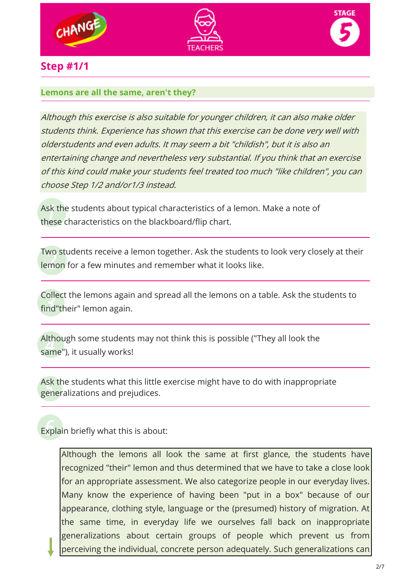





## **Step #1/1**

#### **Lemons are all the same, aren't they?**

Although this exercise is also suitable for younger children, it can also make older students think. Experience has shown that this exercise can be done very well with olderstudents and even adults. It may seem a bit "childish", but it is also an entertaining change and nevertheless very substantial. If you think that an exercise of this kind could make your students feel treated too much "like children", you can choose Step 1/2 and/or1/3 instead.

Ask the students about typical characteristics of a lemon. Make a note of these characteristics on the blackboard/flip chart.

Two students receive a lemon together. Ask the students to look very closely at their lemon for a few minutes and remember what it looks like.

Collect the lemons again and spread all the lemons on a table. Ask the students to find"their" lemon again.

Although some students may not think this is possible ("They all look the same"), it usually works!

Ask the students what this little exercise might have to do with inappropriate generalizations and prejudices.

Explain briefly what this is about:

Although the lemons all look the same at first glance, the students have recognized "their" lemon and thus determined that we have to take a close look for an appropriate assessment. We also categorize people in our everyday lives. Many know the experience of having been "put in a box" because of our appearance, clothing style, language or the (presumed) history of migration. At the same time, in everyday life we ourselves fall back on inappropriate generalizations about certain groups of people which prevent us from perceiving the individual, concrete person adequately. Such generalizations can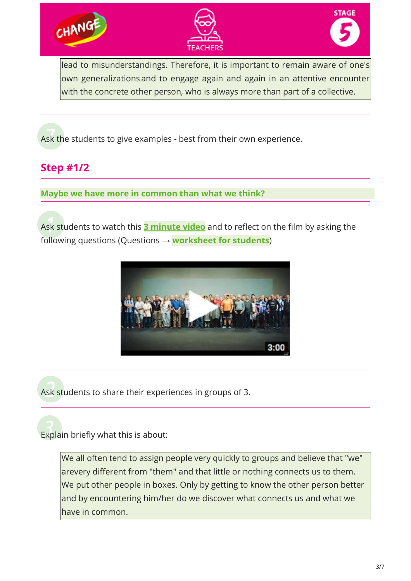





lead to misunderstandings. Therefore, it is important to remain aware of one's own generalizations and to engage again and again in an attentive encounter with the concrete other person, who is always more than part of a collective.

Ask the students to give examples - best from their own experience.

# **Step #1/2**

**Maybe we have more in common than what we think?**

Ask students to watch this **[3 minute video](https://www.youtube.com/watch?v=jD8tjhVO1Tc)** and to reflect on the film by asking the following questions (Questions → **worksheet for students**)



Ask students to share their experiences in groups of 3.

Explain briefly what this is about:

We all often tend to assign people very quickly to groups and believe that "we" arevery different from "them" and that little or nothing connects us to them. We put other people in boxes. Only by getting to know the other person better and by encountering him/her do we discover what connects us and what we have in common.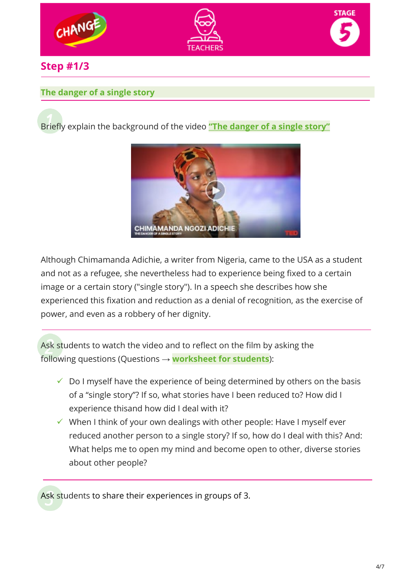

## **Step #1/3**

#### **The danger of a single story**

Briefly explain the background of the video **["The danger of](https://www.ted.com/talks/chimamanda_ngozi_adichie_the_danger_of_a_single_story) a single story"**



Although Chimamanda Adichie, a writer from Nigeria, came to the USA as a student and not as a refugee, she nevertheless had to experience being fixed to a certain image or a certain story ("single story"). In a speech she describes how she experienced this fixation and reduction as a denial of recognition, as the exercise of power, and even as a robbery of her dignity.

Ask students to watch the video and to reflect on the film by asking the following questions (Questions → **worksheet for students**):

- $\checkmark$  Do I myself have the experience of being determined by others on the basis of a "single story"? If so, what stories have I been reduced to? How did I experience thisand how did I deal with it?
- $\checkmark$  When I think of your own dealings with other people: Have I myself ever reduced another person to a single story? If so, how do I deal with this? And: What helps me to open my mind and become open to other, diverse stories about other people?

Ask students to share their experiences in groups of 3.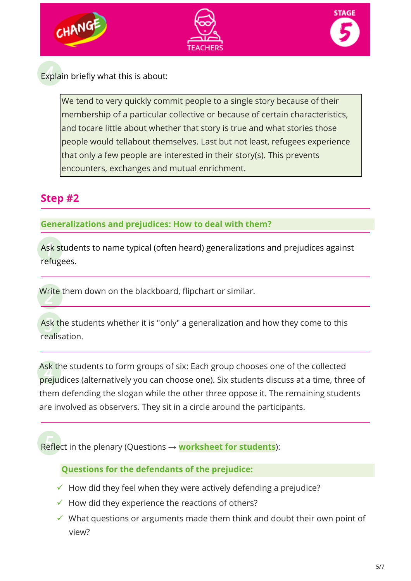





Explain briefly what this is about:

We tend to very quickly commit people to a single story because of their membership of a particular collective or because of certain characteristics, and tocare little about whether that story is true and what stories those people would tellabout themselves. Last but not least, refugees experience that only a few people are interested in their story(s). This prevents encounters, exchanges and mutual enrichment.

# **Step #2**

#### **Generalizations and prejudices: How to deal with them?**

Ask students to name typical (often heard) generalizations and prejudices against refugees.

Write them down on the blackboard, flipchart or similar.

Ask the students whether it is "only" a generalization and how they come to this realisation.

Ask the students to form groups of six: Each group chooses one of the collected prejudices (alternatively you can choose one). Six students discuss at a time, three of them defending the slogan while the other three oppose it. The remaining students are involved as observers. They sit in a circle around the participants.

Reflect in the plenary (Questions → **worksheet for students**):

#### **Questions for the defendants of the prejudice:**

- $\checkmark$  How did they feel when they were actively defending a prejudice?
- $\checkmark$  How did they experience the reactions of others?
- $\checkmark$  What questions or arguments made them think and doubt their own point of view?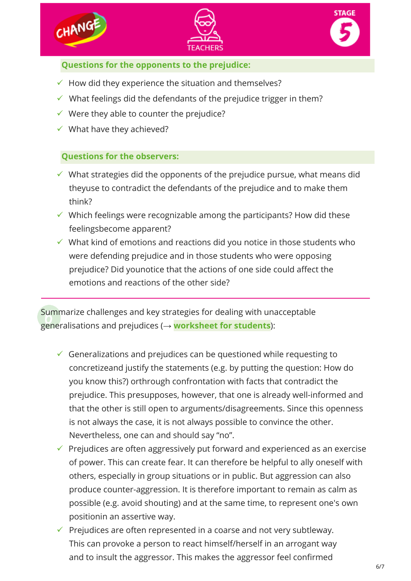





#### **Questions for the opponents to the prejudice:**

- $\checkmark$  How did they experience the situation and themselves?
- $\checkmark$  What feelings did the defendants of the prejudice trigger in them?
- $\checkmark$  Were they able to counter the prejudice?
- $\checkmark$  What have they achieved?

#### **Questions for the observers:**

- $\checkmark$  What strategies did the opponents of the prejudice pursue, what means did theyuse to contradict the defendants of the prejudice and to make them think?
- $\checkmark$  Which feelings were recognizable among the participants? How did these feelingsbecome apparent?
- $\checkmark$  What kind of emotions and reactions did you notice in those students who were defending prejudice and in those students who were opposing prejudice? Did younotice that the actions of one side could affect the emotions and reactions of the other side?

Summarize challenges and key strategies for dealing with unacceptable generalisations and prejudices (→ **worksheet for students**):

- $\checkmark$  Generalizations and prejudices can be questioned while requesting to concretizeand justify the statements (e.g. by putting the question: How do you know this?) orthrough confrontation with facts that contradict the prejudice. This presupposes, however, that one is already well-informed and that the other is still open to arguments/disagreements. Since this openness is not always the case, it is not always possible to convince the other. Nevertheless, one can and should say "no".
- $\checkmark$  Prejudices are often aggressively put forward and experienced as an exercise of power. This can create fear. It can therefore be helpful to ally oneself with others, especially in group situations or in public. But aggression can also produce counter-aggression. It is therefore important to remain as calm as possible (e.g. avoid shouting) and at the same time, to represent one's own positionin an assertive way.
- $\checkmark$  Prejudices are often represented in a coarse and not very subtleway. This can provoke a person to react himself/herself in an arrogant way and to insult the aggressor. This makes the aggressor feel confirmed